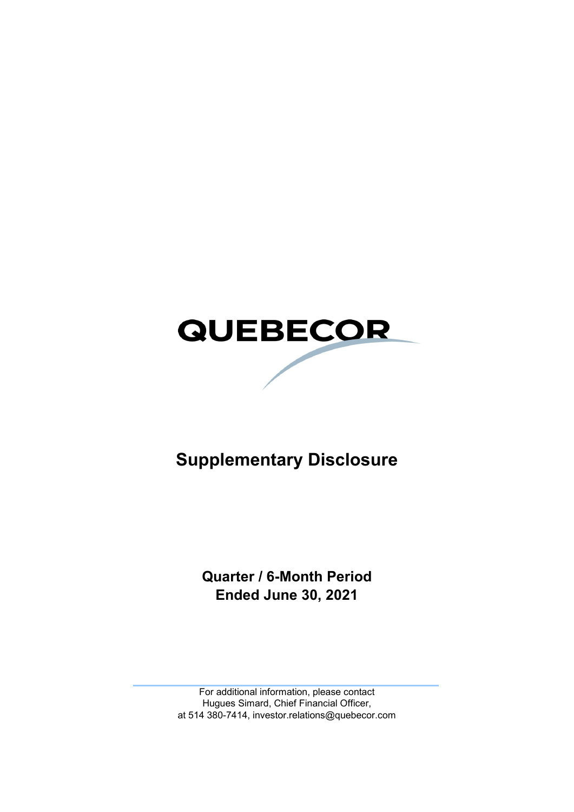

# **Supplementary Disclosure**

**Quarter / 6-Month Period Ended June 30, 2021**

For additional information, please contact Hugues Simard, Chief Financial Officer, at 514 380-7414, investor.relations@quebecor.com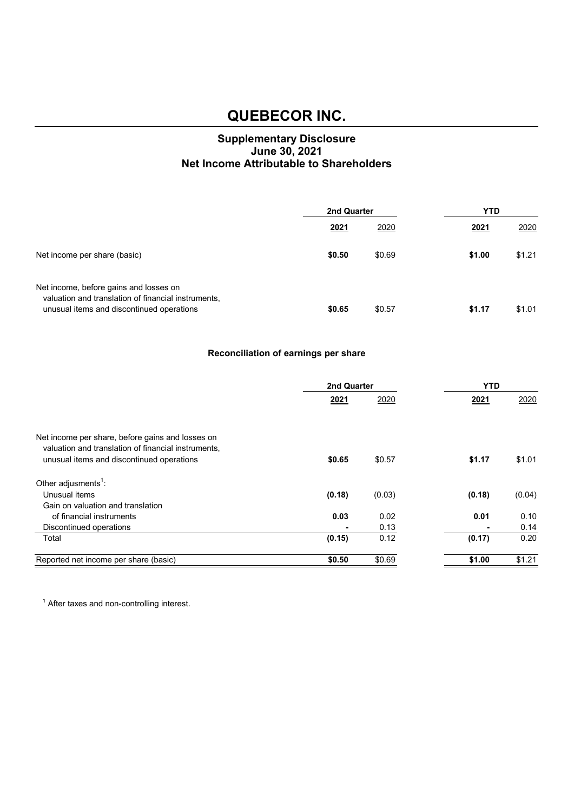#### **Supplementary Disclosure June 30, 2021 Net Income Attributable to Shareholders**

|                                                                                                                                            | 2nd Quarter |        | <b>YTD</b> |        |
|--------------------------------------------------------------------------------------------------------------------------------------------|-------------|--------|------------|--------|
|                                                                                                                                            | 2021        | 2020   | 2021       | 2020   |
| Net income per share (basic)                                                                                                               | \$0.50      | \$0.69 | \$1.00     | \$1.21 |
| Net income, before gains and losses on<br>valuation and translation of financial instruments,<br>unusual items and discontinued operations | \$0.65      | \$0.57 | \$1.17     | \$1.01 |

#### **Reconciliation of earnings per share**

|                                                     | 2nd Quarter    |        | <b>YTD</b>     |        |
|-----------------------------------------------------|----------------|--------|----------------|--------|
|                                                     | 2021           | 2020   | 2021           | 2020   |
|                                                     |                |        |                |        |
| Net income per share, before gains and losses on    |                |        |                |        |
| valuation and translation of financial instruments, |                |        |                |        |
| unusual items and discontinued operations           | \$0.65         | \$0.57 | \$1.17         | \$1.01 |
| Other adjusments <sup>1</sup> :                     |                |        |                |        |
| Unusual items                                       | (0.18)         | (0.03) | (0.18)         | (0.04) |
| Gain on valuation and translation                   |                |        |                |        |
| of financial instruments                            | 0.03           | 0.02   | 0.01           | 0.10   |
| Discontinued operations                             | $\blacksquare$ | 0.13   | $\blacksquare$ | 0.14   |
| Total                                               | (0.15)         | 0.12   | (0.17)         | 0.20   |
| Reported net income per share (basic)               | \$0.50         | \$0.69 | \$1.00         | \$1.21 |

<sup>1</sup> After taxes and non-controlling interest.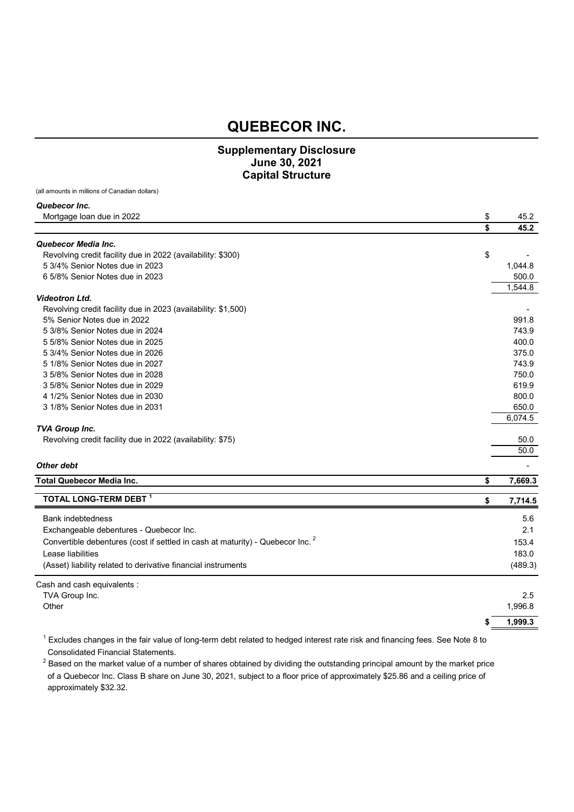#### **Supplementary Disclosure June 30, 2021 Capital Structure**

(all amounts in millions of Canadian dollars)

| Quebecor Inc.                                                 |               |
|---------------------------------------------------------------|---------------|
| Mortgage loan due in 2022                                     | \$<br>45.2    |
|                                                               | \$<br>45.2    |
| Quebecor Media Inc.                                           |               |
| Revolving credit facility due in 2022 (availability: \$300)   | \$            |
| 5 3/4% Senior Notes due in 2023                               | 1,044.8       |
| 6 5/8% Senior Notes due in 2023                               | 500.0         |
|                                                               | 1,544.8       |
| <b>Videotron Ltd.</b>                                         |               |
| Revolving credit facility due in 2023 (availability: \$1,500) |               |
| 5% Senior Notes due in 2022                                   | 991.8         |
| 5 3/8% Senior Notes due in 2024                               | 743.9         |
| 5 5/8% Senior Notes due in 2025                               | 400.0         |
| 5 3/4% Senior Notes due in 2026                               | 375.0         |
| 5 1/8% Senior Notes due in 2027                               | 743.9         |
| 3 5/8% Senior Notes due in 2028                               | 750.0         |
| 3 5/8% Senior Notes due in 2029                               | 619.9         |
| 4 1/2% Senior Notes due in 2030                               | 800.0         |
| 3 1/8% Senior Notes due in 2031                               | 650.0         |
|                                                               | 6,074.5       |
| <b>TVA Group Inc.</b>                                         |               |
| Revolving credit facility due in 2022 (availability: \$75)    | 50.0          |
|                                                               | 50.0          |
| Other debt                                                    |               |
| <b>Total Quebecor Media Inc.</b>                              | \$<br>7,669.3 |
| TOTAL LONG-TERM DEBT 1                                        | \$<br>7,714.5 |
| .                                                             |               |

| Cash and cash equivalents :                                                               |         |
|-------------------------------------------------------------------------------------------|---------|
| (Asset) liability related to derivative financial instruments                             | (489.3) |
| Lease liabilities                                                                         | 183.0   |
| Convertible debentures (cost if settled in cash at maturity) - Quebecor Inc. <sup>2</sup> | 153.4   |
| Exchangeable debentures - Quebecor Inc.                                                   | 2.1     |
| <b>Bank indebtedness</b>                                                                  | 5.6     |

|                | 1,999.3 |
|----------------|---------|
| Other          | 1,996.8 |
| TVA Group Inc. | 2.5     |

 $^1$  Excludes changes in the fair value of long-term debt related to hedged interest rate risk and financing fees. See Note 8 to Consolidated Financial Statements.

 $^2$  Based on the market value of a number of shares obtained by dividing the outstanding principal amount by the market price of a Quebecor Inc. Class B share on June 30, 2021, subject to a floor price of approximately \$25.86 and a ceiling price of approximately \$32.32.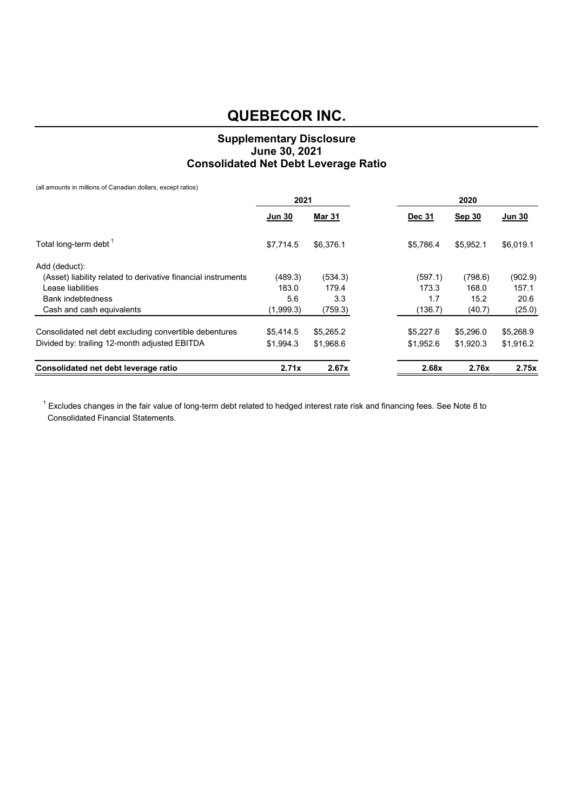#### **Supplementary Disclosure June 30, 2021 Consolidated Net Debt Leverage Ratio**

(all amounts in millions of Canadian dollars, except ratios)

|                                                               | 2021<br>2020  |               |  |           |               |           |
|---------------------------------------------------------------|---------------|---------------|--|-----------|---------------|-----------|
|                                                               | <u>Jun 30</u> | <b>Mar 31</b> |  | Dec 31    | <b>Sep 30</b> | Jun 30    |
| Total long-term debt <sup>1</sup>                             | \$7,714.5     | \$6,376.1     |  | \$5.786.4 | \$5,952.1     | \$6,019.1 |
| Add (deduct):                                                 |               |               |  |           |               |           |
| (Asset) liability related to derivative financial instruments | (489.3)       | (534.3)       |  | (597.1)   | (798.6)       | (902.9)   |
| Lease liabilities                                             | 183.0         | 179.4         |  | 173.3     | 168.0         | 157.1     |
| <b>Bank indebtedness</b>                                      | 5.6           | 3.3           |  | 1.7       | 15.2          | 20.6      |
| Cash and cash equivalents                                     | (1,999.3)     | (759.3)       |  | (136.7)   | (40.7)        | (25.0)    |
| Consolidated net debt excluding convertible debentures        | \$5,414.5     | \$5,265.2     |  | \$5,227.6 | \$5,296.0     | \$5,268.9 |
| Divided by: trailing 12-month adjusted EBITDA                 | \$1.994.3     | \$1,968.6     |  | \$1,952.6 | \$1,920.3     | \$1,916.2 |
| Consolidated net debt leverage ratio                          | 2.71x         | 2.67x         |  | 2.68x     | 2.76x         | 2.75x     |

 $^1$  Excludes changes in the fair value of long-term debt related to hedged interest rate risk and financing fees. See Note 8 to Consolidated Financial Statements.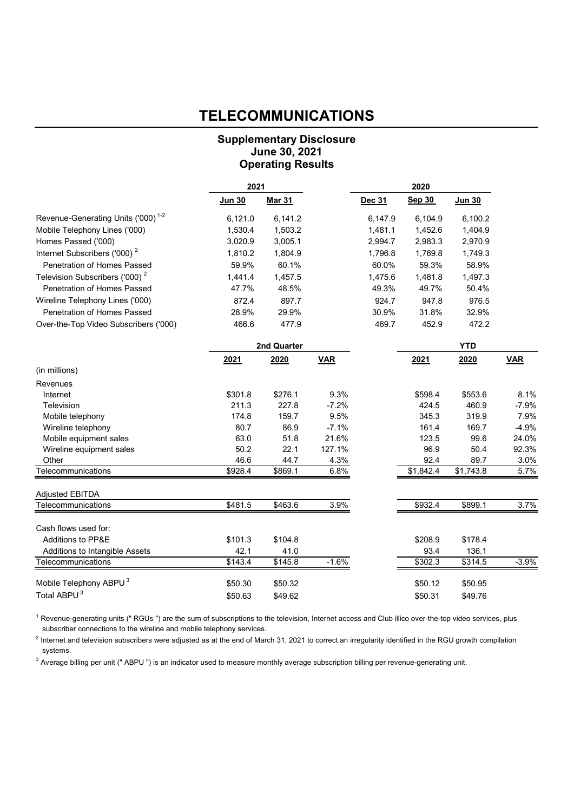### **TELECOMMUNICATIONS**

#### **Supplementary Disclosure June 30, 2021 Operating Results**

|                                                | 2021    |               | 2020       |         |                 |            |            |
|------------------------------------------------|---------|---------------|------------|---------|-----------------|------------|------------|
|                                                | Jun 30  | <b>Mar 31</b> |            | Dec 31  | <b>Sep 30</b>   | Jun 30     |            |
| Revenue-Generating Units ('000) <sup>1-2</sup> | 6,121.0 | 6,141.2       |            | 6,147.9 | 6,104.9         | 6,100.2    |            |
| Mobile Telephony Lines ('000)                  | 1,530.4 | 1,503.2       |            | 1,481.1 | 1,452.6         | 1,404.9    |            |
| Homes Passed ('000)                            | 3,020.9 | 3,005.1       |            | 2,994.7 | 2,983.3         | 2,970.9    |            |
| Internet Subscribers ('000) <sup>2</sup>       | 1,810.2 | 1,804.9       |            | 1,796.8 | 1,769.8         | 1,749.3    |            |
| Penetration of Homes Passed                    | 59.9%   | 60.1%         |            | 60.0%   | 59.3%           | 58.9%      |            |
| Television Subscribers ('000) <sup>2</sup>     | 1,441.4 | 1,457.5       |            | 1,475.6 | 1,481.8         | 1,497.3    |            |
| Penetration of Homes Passed                    | 47.7%   | 48.5%         |            | 49.3%   | 49.7%           | 50.4%      |            |
| Wireline Telephony Lines ('000)                | 872.4   | 897.7         |            | 924.7   | 947.8           | 976.5      |            |
| Penetration of Homes Passed                    | 28.9%   | 29.9%         |            | 30.9%   | 31.8%           | 32.9%      |            |
| Over-the-Top Video Subscribers ('000)          | 466.6   | 477.9         |            | 469.7   | 452.9           | 472.2      |            |
|                                                |         | 2nd Quarter   |            |         |                 | <b>YTD</b> |            |
|                                                | 2021    | 2020          | <b>VAR</b> |         | 2021            | 2020       | <b>VAR</b> |
| (in millions)                                  |         |               |            |         |                 |            |            |
| Revenues                                       |         |               |            |         |                 |            |            |
| Internet                                       | \$301.8 | \$276.1       | 9.3%       |         | \$598.4         | \$553.6    | 8.1%       |
| Television                                     | 211.3   | 227.8         | $-7.2%$    |         | 424.5           | 460.9      | $-7.9%$    |
| Mobile telephony                               | 174.8   | 159.7         | 9.5%       |         | 345.3           | 319.9      | 7.9%       |
| Wireline telephony                             | 80.7    | 86.9          | $-7.1%$    |         | 161.4           | 169.7      | $-4.9%$    |
| Mobile equipment sales                         | 63.0    | 51.8          | 21.6%      |         | 123.5           | 99.6       | 24.0%      |
| Wireline equipment sales                       | 50.2    | 22.1          | 127.1%     |         | 96.9            | 50.4       | 92.3%      |
| Other                                          | 46.6    | 44.7          | 4.3%       |         | 92.4            | 89.7       | 3.0%       |
| Telecommunications                             | \$928.4 | \$869.1       | 6.8%       |         | \$1,842.4       | \$1,743.8  | 5.7%       |
| <b>Adjusted EBITDA</b>                         |         |               |            |         |                 |            |            |
| Telecommunications                             | \$481.5 | \$463.6       | 3.9%       |         | \$932.4         | \$899.1    | 3.7%       |
| Cash flows used for:                           |         |               |            |         |                 |            |            |
| Additions to PP&E                              | \$101.3 | \$104.8       |            |         | \$208.9         | \$178.4    |            |
| Additions to Intangible Assets                 | 42.1    | 41.0          |            |         | 93.4            | 136.1      |            |
| Telecommunications                             | \$143.4 | \$145.8       | $-1.6%$    |         | $\sqrt{$302.3}$ | \$314.5    | $-3.9%$    |
| Mobile Telephony ABPU <sup>3</sup>             | \$50.30 | \$50.32       |            |         | \$50.12         | \$50.95    |            |
| Total ABPU <sup>3</sup>                        | \$50.63 | \$49.62       |            |         | \$50.31         | \$49.76    |            |

<sup>1</sup> Revenue-generating units (" RGUs ") are the sum of subscriptions to the television, Internet access and Club illico over-the-top video services, plus subscriber connections to the wireline and mobile telephony services.

 $^2$  Internet and television subscribers were adjusted as at the end of March 31, 2021 to correct an irregularity identified in the RGU growth compilation systems.

 $^3$  Average billing per unit (" ABPU ") is an indicator used to measure monthly average subscription billing per revenue-generating unit.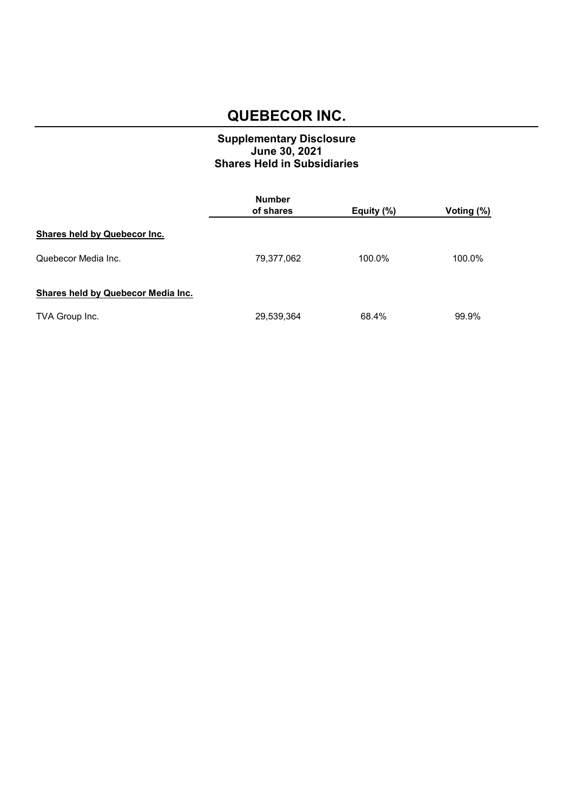#### **Supplementary Disclosure June 30, 2021 Shares Held in Subsidiaries**

|                                    | <b>Number</b> |            |            |  |
|------------------------------------|---------------|------------|------------|--|
|                                    | of shares     | Equity (%) | Voting (%) |  |
| Shares held by Quebecor Inc.       |               |            |            |  |
| Quebecor Media Inc.                | 79,377,062    | 100.0%     | 100.0%     |  |
| Shares held by Quebecor Media Inc. |               |            |            |  |
| TVA Group Inc.                     | 29,539,364    | 68.4%      | 99.9%      |  |